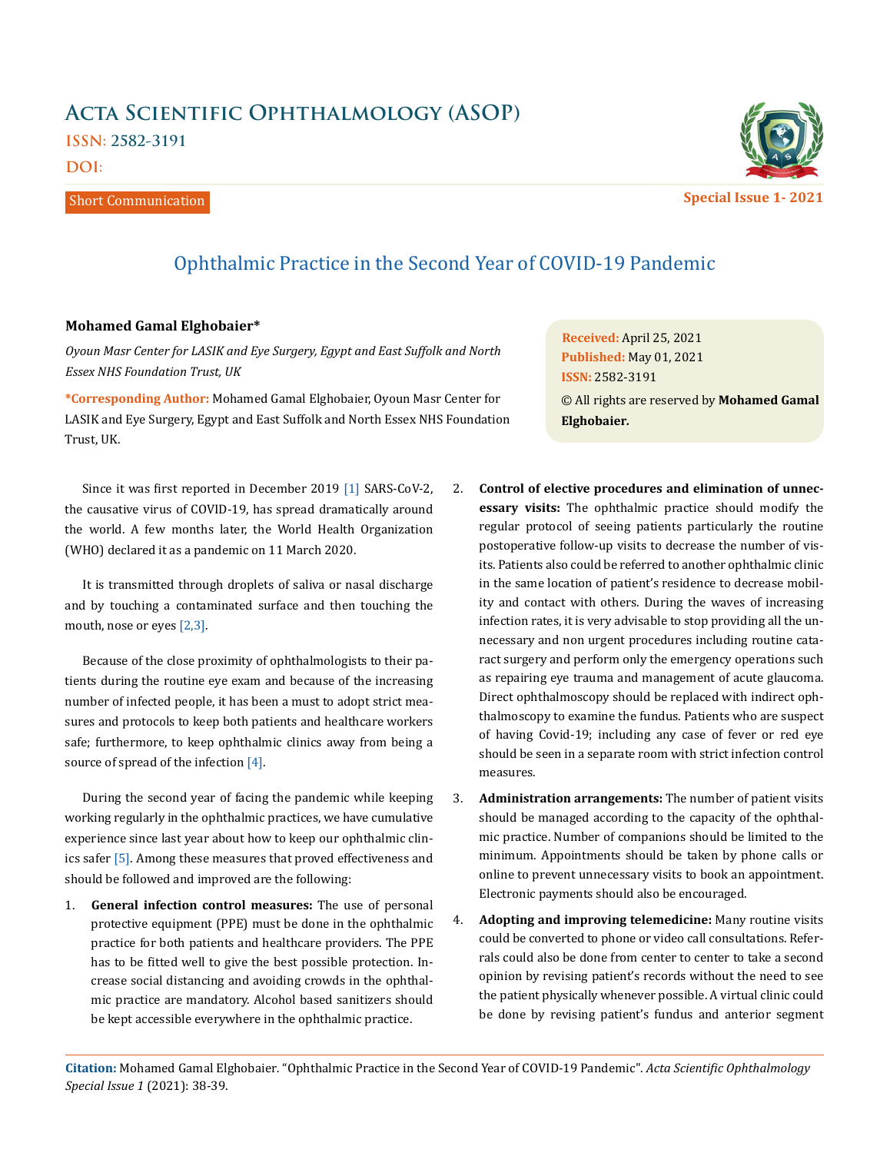## **Acta Scientific Ophthalmology (ASOP) ISSN: 2582-3191**

**DOI:** 

Short Communication



Ophthalmic Practice in the Second Year of COVID-19 Pandemic

## **Mohamed Gamal Elghobaier\***

*Oyoun Masr Center for LASIK and Eye Surgery, Egypt and East Suffolk and North Essex NHS Foundation Trust, UK* 

**\*Corresponding Author:** Mohamed Gamal Elghobaier, Oyoun Masr Center for LASIK and Eye Surgery, Egypt and East Suffolk and North Essex NHS Foundation Trust, UK.

Since it was first reported in December 2019 [1] SARS-CoV-2, the causative virus of COVID-19, has spread dramatically around the world. A few months later, the World Health Organization (WHO) declared it as a pandemic on 11 March 2020.

It is transmitted through droplets of saliva or nasal discharge and by touching a contaminated surface and then touching the mouth, nose or eyes [2,3].

Because of the close proximity of ophthalmologists to their patients during the routine eye exam and because of the increasing number of infected people, it has been a must to adopt strict measures and protocols to keep both patients and healthcare workers safe; furthermore, to keep ophthalmic clinics away from being a source of spread of the infection [4].

During the second year of facing the pandemic while keeping working regularly in the ophthalmic practices, we have cumulative experience since last year about how to keep our ophthalmic clinics safer [5]. Among these measures that proved effectiveness and should be followed and improved are the following:

1. **General infection control measures:** The use of personal protective equipment (PPE) must be done in the ophthalmic practice for both patients and healthcare providers. The PPE has to be fitted well to give the best possible protection. Increase social distancing and avoiding crowds in the ophthalmic practice are mandatory. Alcohol based sanitizers should be kept accessible everywhere in the ophthalmic practice.

**Received:** April 25, 2021 **Published:** May 01, 2021 © All rights are reserved by **Mohamed Gamal Elghobaier***.* **ISSN:** 2582-3191

- 2. **Control of elective procedures and elimination of unnecessary visits:** The ophthalmic practice should modify the regular protocol of seeing patients particularly the routine postoperative follow-up visits to decrease the number of visits. Patients also could be referred to another ophthalmic clinic in the same location of patient's residence to decrease mobility and contact with others. During the waves of increasing infection rates, it is very advisable to stop providing all the unnecessary and non urgent procedures including routine cataract surgery and perform only the emergency operations such as repairing eye trauma and management of acute glaucoma. Direct ophthalmoscopy should be replaced with indirect ophthalmoscopy to examine the fundus. Patients who are suspect of having Covid-19; including any case of fever or red eye should be seen in a separate room with strict infection control measures.
- 3. **Administration arrangements:** The number of patient visits should be managed according to the capacity of the ophthalmic practice. Number of companions should be limited to the minimum. Appointments should be taken by phone calls or online to prevent unnecessary visits to book an appointment. Electronic payments should also be encouraged.
- 4. **Adopting and improving telemedicine:** Many routine visits could be converted to phone or video call consultations. Referrals could also be done from center to center to take a second opinion by revising patient's records without the need to see the patient physically whenever possible. A virtual clinic could be done by revising patient's fundus and anterior segment

**Citation:** Mohamed Gamal Elghobaier*.* "Ophthalmic Practice in the Second Year of COVID-19 Pandemic". *Acta Scientific Ophthalmology Special Issue 1* (2021): 38-39.